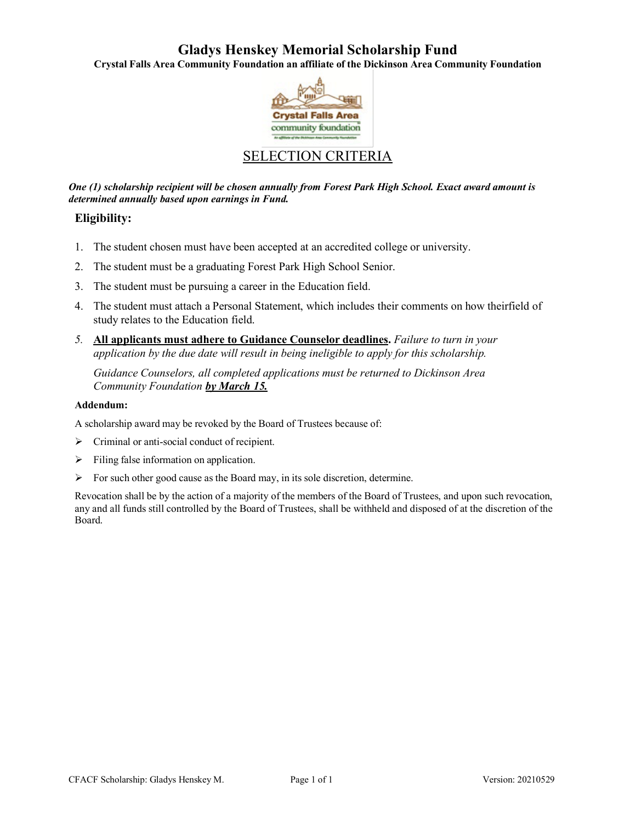## **Gladys Henskey Memorial Scholarship Fund**

**Crystal Falls Area Community Foundation an affiliate of the Dickinson Area Community Foundation**



## SELECTION CRITERIA

*One (1) scholarship recipient will be chosen annually from Forest Park High School. Exact award amount is determined annually based upon earnings in Fund.*

### **Eligibility:**

- 1. The student chosen must have been accepted at an accredited college or university.
- 2. The student must be a graduating Forest Park High School Senior.
- 3. The student must be pursuing a career in the Education field.
- 4. The student must attach a Personal Statement, which includes their comments on how theirfield of study relates to the Education field.
- *5.* **All applicants must adhere to Guidance Counselor deadlines.** *Failure to turn in your application by the due date will result in being ineligible to apply for this scholarship.*

*Guidance Counselors, all completed applications must be returned to Dickinson Area Community Foundation by March 15.*

#### **Addendum:**

A scholarship award may be revoked by the Board of Trustees because of:

- $\triangleright$  Criminal or anti-social conduct of recipient.
- $\triangleright$  Filing false information on application.
- $\triangleright$  For such other good cause as the Board may, in its sole discretion, determine.

Revocation shall be by the action of a majority of the members of the Board of Trustees, and upon such revocation, any and all funds still controlled by the Board of Trustees, shall be withheld and disposed of at the discretion of the Board.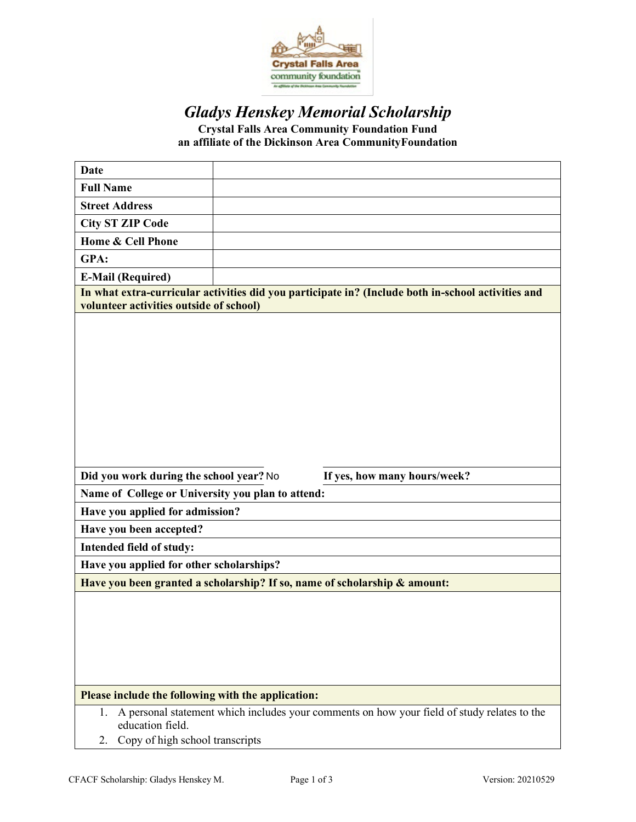

# *Gladys Henskey Memorial Scholarship*

**Crystal Falls Area Community Foundation Fund an affiliate of the Dickinson Area CommunityFoundation**

| <b>Date</b>                                                                                                                                                    |  |
|----------------------------------------------------------------------------------------------------------------------------------------------------------------|--|
| <b>Full Name</b>                                                                                                                                               |  |
| <b>Street Address</b>                                                                                                                                          |  |
| <b>City ST ZIP Code</b>                                                                                                                                        |  |
| Home & Cell Phone                                                                                                                                              |  |
| GPA:                                                                                                                                                           |  |
| <b>E-Mail (Required)</b>                                                                                                                                       |  |
| In what extra-curricular activities did you participate in? (Include both in-school activities and<br>volunteer activities outside of school)                  |  |
|                                                                                                                                                                |  |
| Did you work during the school year? No<br>If yes, how many hours/week?                                                                                        |  |
| Name of College or University you plan to attend:                                                                                                              |  |
| Have you applied for admission?                                                                                                                                |  |
| Have you been accepted?                                                                                                                                        |  |
| Intended field of study:                                                                                                                                       |  |
| Have you applied for other scholarships?                                                                                                                       |  |
| Have you been granted a scholarship? If so, name of scholarship & amount:                                                                                      |  |
|                                                                                                                                                                |  |
| Please include the following with the application:                                                                                                             |  |
| A personal statement which includes your comments on how your field of study relates to the<br>1.<br>education field.<br>Copy of high school transcripts<br>2. |  |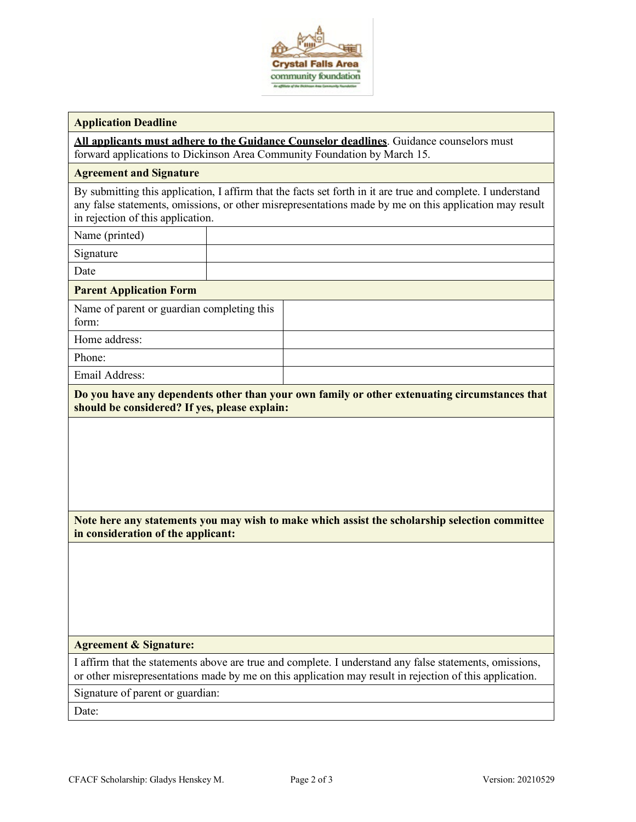

#### **Application Deadline**

**All applicants must adhere to the Guidance Counselor deadlines**. Guidance counselors must forward applications to Dickinson Area Community Foundation by March 15.

#### **Agreement and Signature**

By submitting this application, I affirm that the facts set forth in it are true and complete. I understand any false statements, omissions, or other misrepresentations made by me on this application may result in rejection of this application.

Name (printed)

Signature

Date

#### **Parent Application Form**

Name of parent or guardian completing this form: Home address:

Phone:

Email Address:

**Do you have any dependents other than your own family or other extenuating circumstances that should be considered? If yes, please explain:**

**Note here any statements you may wish to make which assist the scholarship selection committee in consideration of the applicant:**

#### **Agreement & Signature:**

I affirm that the statements above are true and complete. I understand any false statements, omissions, or other misrepresentations made by me on this application may result in rejection of this application.

Signature of parent or guardian:

Date: